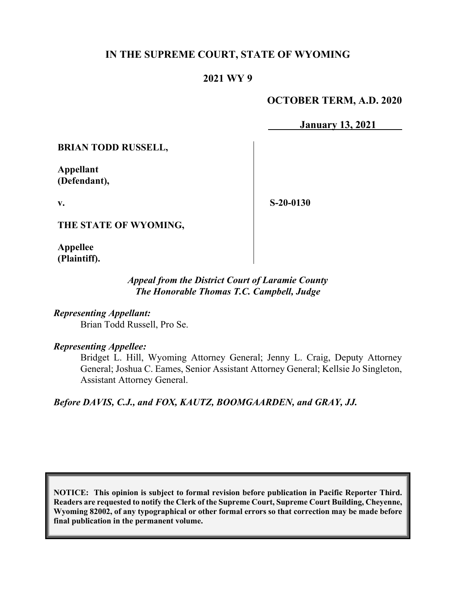# **IN THE SUPREME COURT, STATE OF WYOMING**

# **2021 WY 9**

# **OCTOBER TERM, A.D. 2020**

**January 13, 2021**

**BRIAN TODD RUSSELL,**

**Appellant (Defendant),**

**v.**

**S-20-0130**

**THE STATE OF WYOMING,**

**Appellee (Plaintiff).**

# *Appeal from the District Court of Laramie County The Honorable Thomas T.C. Campbell, Judge*

*Representing Appellant:* Brian Todd Russell, Pro Se.

### *Representing Appellee:*

Bridget L. Hill, Wyoming Attorney General; Jenny L. Craig, Deputy Attorney General; Joshua C. Eames, Senior Assistant Attorney General; Kellsie Jo Singleton, Assistant Attorney General.

*Before DAVIS, C.J., and FOX, KAUTZ, BOOMGAARDEN, and GRAY, JJ.*

**NOTICE: This opinion is subject to formal revision before publication in Pacific Reporter Third. Readers are requested to notify the Clerk of the Supreme Court, Supreme Court Building, Cheyenne, Wyoming 82002, of any typographical or other formal errors so that correction may be made before final publication in the permanent volume.**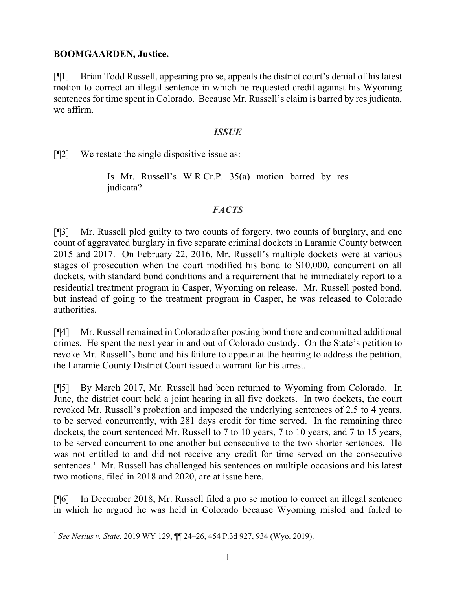### **BOOMGAARDEN, Justice.**

[¶1] Brian Todd Russell, appearing pro se, appeals the district court's denial of his latest motion to correct an illegal sentence in which he requested credit against his Wyoming sentences for time spent in Colorado. Because Mr. Russell's claim is barred by res judicata, we affirm.

### *ISSUE*

[¶2] We restate the single dispositive issue as:

Is Mr. Russell's W.R.Cr.P. 35(a) motion barred by res judicata?

# *FACTS*

[¶3] Mr. Russell pled guilty to two counts of forgery, two counts of burglary, and one count of aggravated burglary in five separate criminal dockets in Laramie County between 2015 and 2017. On February 22, 2016, Mr. Russell's multiple dockets were at various stages of prosecution when the court modified his bond to \$10,000, concurrent on all dockets, with standard bond conditions and a requirement that he immediately report to a residential treatment program in Casper, Wyoming on release. Mr. Russell posted bond, but instead of going to the treatment program in Casper, he was released to Colorado authorities.

[¶4] Mr. Russell remained in Colorado after posting bond there and committed additional crimes. He spent the next year in and out of Colorado custody. On the State's petition to revoke Mr. Russell's bond and his failure to appear at the hearing to address the petition, the Laramie County District Court issued a warrant for his arrest.

[¶5] By March 2017, Mr. Russell had been returned to Wyoming from Colorado. In June, the district court held a joint hearing in all five dockets. In two dockets, the court revoked Mr. Russell's probation and imposed the underlying sentences of 2.5 to 4 years, to be served concurrently, with 281 days credit for time served. In the remaining three dockets, the court sentenced Mr. Russell to 7 to 10 years, 7 to 10 years, and 7 to 15 years, to be served concurrent to one another but consecutive to the two shorter sentences. He was not entitled to and did not receive any credit for time served on the consecutive sentences.<sup>[1](#page-1-0)</sup> Mr. Russell has challenged his sentences on multiple occasions and his latest two motions, filed in 2018 and 2020, are at issue here.

[¶6] In December 2018, Mr. Russell filed a pro se motion to correct an illegal sentence in which he argued he was held in Colorado because Wyoming misled and failed to

<span id="page-1-0"></span><sup>1</sup> *See Nesius v. State*, 2019 WY 129, ¶¶ 24–26, 454 P.3d 927, 934 (Wyo. 2019).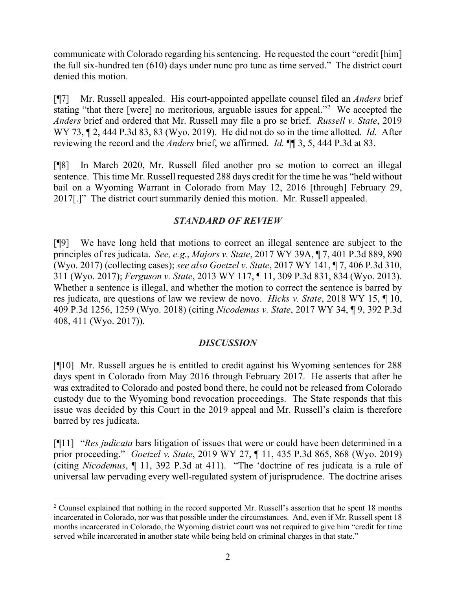communicate with Colorado regarding his sentencing. He requested the court "credit [him] the full six-hundred ten (610) days under nunc pro tunc as time served." The district court denied this motion.

[¶7] Mr. Russell appealed. His court-appointed appellate counsel filed an *Anders* brief stating "that there [were] no meritorious, arguable issues for appeal."[2](#page-2-0) We accepted the *Anders* brief and ordered that Mr. Russell may file a pro se brief. *Russell v. State*, 2019 WY 73, ¶ 2, 444 P.3d 83, 83 (Wyo. 2019). He did not do so in the time allotted. *Id.* After reviewing the record and the *Anders* brief, we affirmed. *Id.* ¶¶ 3, 5, 444 P.3d at 83.

[¶8] In March 2020, Mr. Russell filed another pro se motion to correct an illegal sentence. This time Mr. Russell requested 288 days credit for the time he was "held without bail on a Wyoming Warrant in Colorado from May 12, 2016 [through] February 29, 2017[.]" The district court summarily denied this motion. Mr. Russell appealed.

# *STANDARD OF REVIEW*

[¶9] We have long held that motions to correct an illegal sentence are subject to the principles of res judicata. *See, e.g.*, *Majors v. State*, 2017 WY 39A, ¶ 7, 401 P.3d 889, 890 (Wyo. 2017) (collecting cases); *see also Goetzel v. State*, 2017 WY 141, ¶ 7, 406 P.3d 310, 311 (Wyo. 2017); *Ferguson v. State*, 2013 WY 117, ¶ 11, 309 P.3d 831, 834 (Wyo. 2013). Whether a sentence is illegal, and whether the motion to correct the sentence is barred by res judicata, are questions of law we review de novo. *Hicks v. State*, 2018 WY 15, ¶ 10, 409 P.3d 1256, 1259 (Wyo. 2018) (citing *Nicodemus v. State*, 2017 WY 34, ¶ 9, 392 P.3d 408, 411 (Wyo. 2017)).

# *DISCUSSION*

[¶10] Mr. Russell argues he is entitled to credit against his Wyoming sentences for 288 days spent in Colorado from May 2016 through February 2017. He asserts that after he was extradited to Colorado and posted bond there, he could not be released from Colorado custody due to the Wyoming bond revocation proceedings. The State responds that this issue was decided by this Court in the 2019 appeal and Mr. Russell's claim is therefore barred by res judicata.

[¶11] "*Res judicata* bars litigation of issues that were or could have been determined in a prior proceeding." *Goetzel v. State*, 2019 WY 27, ¶ 11, 435 P.3d 865, 868 (Wyo. 2019) (citing *Nicodemus*[, ¶ 11, 392 P.3d at 411\)](https://1.next.westlaw.com/Link/Document/FullText?findType=Y&serNum=2041288350&pubNum=0004645&originatingDoc=Icae2e0b0406d11e99ea08308254f537e&refType=RP&fi=co_pp_sp_4645_411&originationContext=document&transitionType=DocumentItem&contextData=(sc.Search)#co_pp_sp_4645_411). "The 'doctrine of res judicata is a rule of universal law pervading every well-regulated system of jurisprudence. The doctrine arises

<span id="page-2-0"></span><sup>&</sup>lt;sup>2</sup> Counsel explained that nothing in the record supported Mr. Russell's assertion that he spent 18 months incarcerated in Colorado, nor was that possible under the circumstances. And, even if Mr. Russell spent 18 months incarcerated in Colorado, the Wyoming district court was not required to give him "credit for time served while incarcerated in another state while being held on criminal charges in that state."